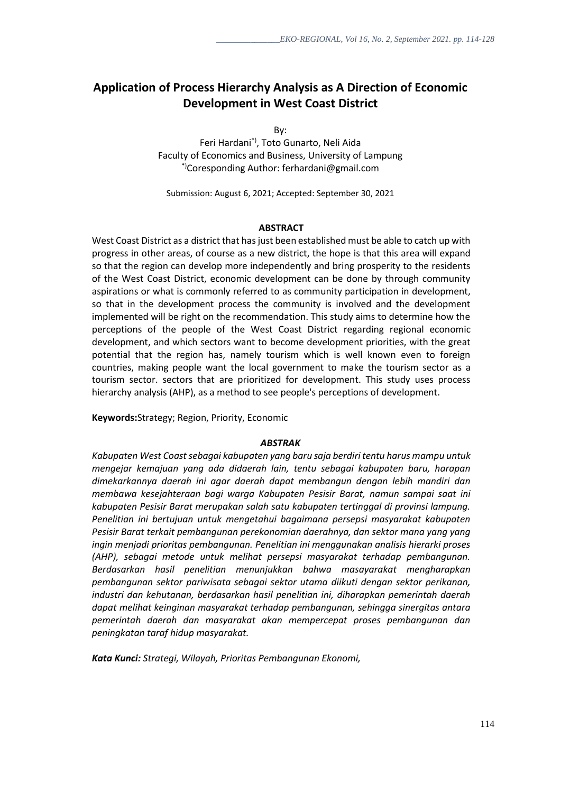# **Application of Process Hierarchy Analysis as A Direction of Economic Development in West Coast District**

By:

Feri Hardani\*), Toto Gunarto, Neli Aida Faculty of Economics and Business, University of Lampung \*)Coresponding Author: ferhardani@gmail.com

Submission: August 6, 2021; Accepted: September 30, 2021

#### **ABSTRACT**

West Coast District as a district that has just been established must be able to catch up with progress in other areas, of course as a new district, the hope is that this area will expand so that the region can develop more independently and bring prosperity to the residents of the West Coast District, economic development can be done by through community aspirations or what is commonly referred to as community participation in development, so that in the development process the community is involved and the development implemented will be right on the recommendation. This study aims to determine how the perceptions of the people of the West Coast District regarding regional economic development, and which sectors want to become development priorities, with the great potential that the region has, namely tourism which is well known even to foreign countries, making people want the local government to make the tourism sector as a tourism sector. sectors that are prioritized for development. This study uses process hierarchy analysis (AHP), as a method to see people's perceptions of development.

**Keywords:**Strategy; Region, Priority, Economic

#### *ABSTRAK*

*Kabupaten West Coastsebagai kabupaten yang baru saja berdiri tentu harus mampu untuk mengejar kemajuan yang ada didaerah lain, tentu sebagai kabupaten baru, harapan dimekarkannya daerah ini agar daerah dapat membangun dengan lebih mandiri dan membawa kesejahteraan bagi warga Kabupaten Pesisir Barat, namun sampai saat ini kabupaten Pesisir Barat merupakan salah satu kabupaten tertinggal di provinsi lampung. Penelitian ini bertujuan untuk mengetahui bagaimana persepsi masyarakat kabupaten Pesisir Barat terkait pembangunan perekonomian daerahnya, dan sektor mana yang yang ingin menjadi prioritas pembangunan. Penelitian ini menggunakan analisis hierarki proses (AHP), sebagai metode untuk melihat persepsi masyarakat terhadap pembangunan. Berdasarkan hasil penelitian menunjukkan bahwa masayarakat mengharapkan pembangunan sektor pariwisata sebagai sektor utama diikuti dengan sektor perikanan, industri dan kehutanan, berdasarkan hasil penelitian ini, diharapkan pemerintah daerah dapat melihat keinginan masyarakat terhadap pembangunan, sehingga sinergitas antara pemerintah daerah dan masyarakat akan mempercepat proses pembangunan dan peningkatan taraf hidup masyarakat.*

*Kata Kunci: Strategi, Wilayah, Prioritas Pembangunan Ekonomi,*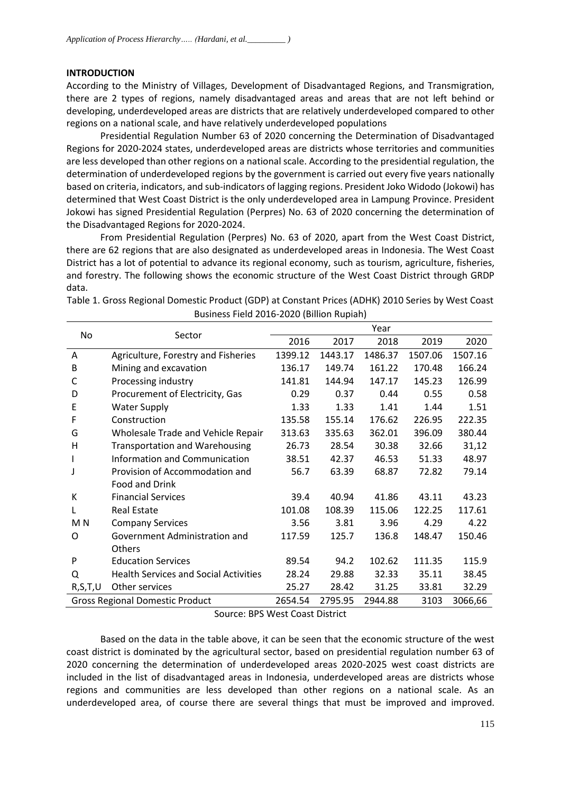# **INTRODUCTION**

According to the Ministry of Villages, Development of Disadvantaged Regions, and Transmigration, there are 2 types of regions, namely disadvantaged areas and areas that are not left behind or developing, underdeveloped areas are districts that are relatively underdeveloped compared to other regions on a national scale, and have relatively underdeveloped populations

Presidential Regulation Number 63 of 2020 concerning the Determination of Disadvantaged Regions for 2020-2024 states, underdeveloped areas are districts whose territories and communities are less developed than other regions on a national scale. According to the presidential regulation, the determination of underdeveloped regions by the government is carried out every five years nationally based on criteria, indicators, and sub-indicators of lagging regions. President Joko Widodo (Jokowi) has determined that West Coast District is the only underdeveloped area in Lampung Province. President Jokowi has signed Presidential Regulation (Perpres) No. 63 of 2020 concerning the determination of the Disadvantaged Regions for 2020-2024.

From Presidential Regulation (Perpres) No. 63 of 2020, apart from the West Coast District, there are 62 regions that are also designated as underdeveloped areas in Indonesia. The West Coast District has a lot of potential to advance its regional economy, such as tourism, agriculture, fisheries, and forestry. The following shows the economic structure of the West Coast District through GRDP data.

Table 1. Gross Regional Domestic Product (GDP) at Constant Prices (ADHK) 2010 Series by West Coast Business Field 2016-2020 (Billion Rupiah) Year

|                | Sector                                       | Year    |         |         |         |         |
|----------------|----------------------------------------------|---------|---------|---------|---------|---------|
| No             |                                              | 2016    | 2017    | 2018    | 2019    | 2020    |
| A              | Agriculture, Forestry and Fisheries          | 1399.12 | 1443.17 | 1486.37 | 1507.06 | 1507.16 |
| B              | Mining and excavation                        | 136.17  | 149.74  | 161.22  | 170.48  | 166.24  |
| C              | Processing industry                          | 141.81  | 144.94  | 147.17  | 145.23  | 126.99  |
| D              | Procurement of Electricity, Gas              | 0.29    | 0.37    | 0.44    | 0.55    | 0.58    |
| E              | <b>Water Supply</b>                          | 1.33    | 1.33    | 1.41    | 1.44    | 1.51    |
| F              | Construction                                 | 135.58  | 155.14  | 176.62  | 226.95  | 222.35  |
| G              | Wholesale Trade and Vehicle Repair           | 313.63  | 335.63  | 362.01  | 396.09  | 380.44  |
| H              | <b>Transportation and Warehousing</b>        | 26.73   | 28.54   | 30.38   | 32.66   | 31,12   |
|                | Information and Communication                | 38.51   | 42.37   | 46.53   | 51.33   | 48.97   |
| J              | Provision of Accommodation and               | 56.7    | 63.39   | 68.87   | 72.82   | 79.14   |
|                | Food and Drink                               |         |         |         |         |         |
| К              | <b>Financial Services</b>                    | 39.4    | 40.94   | 41.86   | 43.11   | 43.23   |
| L              | <b>Real Estate</b>                           | 101.08  | 108.39  | 115.06  | 122.25  | 117.61  |
| M <sub>N</sub> | <b>Company Services</b>                      | 3.56    | 3.81    | 3.96    | 4.29    | 4.22    |
| O              | Government Administration and                | 117.59  | 125.7   | 136.8   | 148.47  | 150.46  |
|                | Others                                       |         |         |         |         |         |
| P              | <b>Education Services</b>                    | 89.54   | 94.2    | 102.62  | 111.35  | 115.9   |
| Q              | <b>Health Services and Social Activities</b> | 28.24   | 29.88   | 32.33   | 35.11   | 38.45   |
| R, S, T, U     | Other services                               | 25.27   | 28.42   | 31.25   | 33.81   | 32.29   |
|                | <b>Gross Regional Domestic Product</b>       | 2654.54 | 2795.95 | 2944.88 | 3103    | 3066,66 |

Source: BPS West Coast District

Based on the data in the table above, it can be seen that the economic structure of the west coast district is dominated by the agricultural sector, based on presidential regulation number 63 of 2020 concerning the determination of underdeveloped areas 2020-2025 west coast districts are included in the list of disadvantaged areas in Indonesia, underdeveloped areas are districts whose regions and communities are less developed than other regions on a national scale. As an underdeveloped area, of course there are several things that must be improved and improved.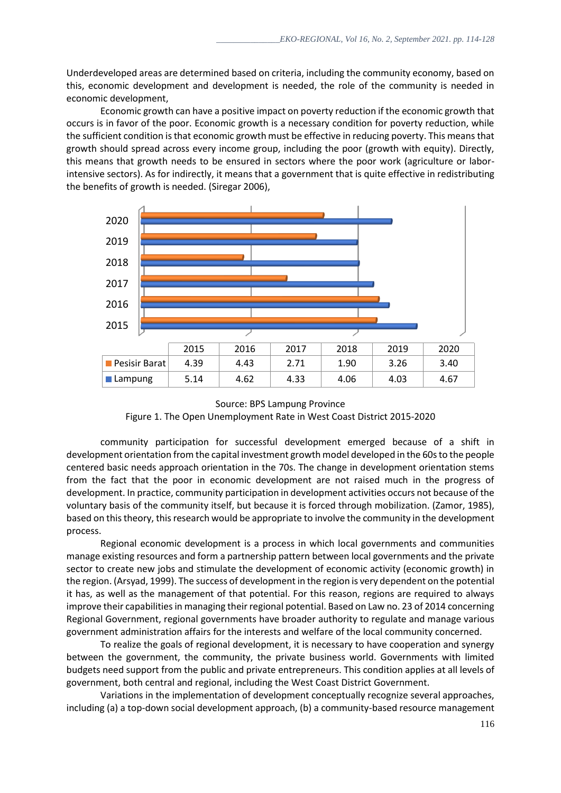Underdeveloped areas are determined based on criteria, including the community economy, based on this, economic development and development is needed, the role of the community is needed in economic development,

Economic growth can have a positive impact on poverty reduction if the economic growth that occurs is in favor of the poor. Economic growth is a necessary condition for poverty reduction, while the sufficient condition is that economic growth must be effective in reducing poverty. This means that growth should spread across every income group, including the poor (growth with equity). Directly, this means that growth needs to be ensured in sectors where the poor work (agriculture or laborintensive sectors). As for indirectly, it means that a government that is quite effective in redistributing the benefits of growth is needed. (Siregar 2006),



Source: BPS Lampung Province

Figure 1. The Open Unemployment Rate in West Coast District 2015-2020

community participation for successful development emerged because of a shift in development orientation from the capital investment growth model developed in the 60s to the people centered basic needs approach orientation in the 70s. The change in development orientation stems from the fact that the poor in economic development are not raised much in the progress of development. In practice, community participation in development activities occurs not because of the voluntary basis of the community itself, but because it is forced through mobilization. (Zamor, 1985), based on this theory, this research would be appropriate to involve the community in the development process.

Regional economic development is a process in which local governments and communities manage existing resources and form a partnership pattern between local governments and the private sector to create new jobs and stimulate the development of economic activity (economic growth) in the region. (Arsyad, 1999). The success of development in the region is very dependent on the potential it has, as well as the management of that potential. For this reason, regions are required to always improve their capabilities in managing their regional potential. Based on Law no. 23 of 2014 concerning Regional Government, regional governments have broader authority to regulate and manage various government administration affairs for the interests and welfare of the local community concerned.

To realize the goals of regional development, it is necessary to have cooperation and synergy between the government, the community, the private business world. Governments with limited budgets need support from the public and private entrepreneurs. This condition applies at all levels of government, both central and regional, including the West Coast District Government.

Variations in the implementation of development conceptually recognize several approaches, including (a) a top-down social development approach, (b) a community-based resource management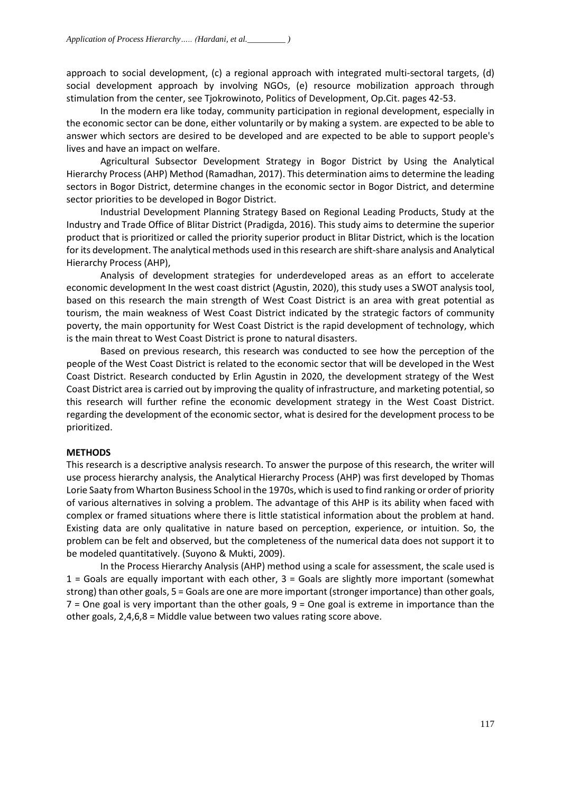approach to social development, (c) a regional approach with integrated multi-sectoral targets, (d) social development approach by involving NGOs, (e) resource mobilization approach through stimulation from the center, see Tjokrowinoto, Politics of Development, Op.Cit. pages 42-53.

In the modern era like today, community participation in regional development, especially in the economic sector can be done, either voluntarily or by making a system. are expected to be able to answer which sectors are desired to be developed and are expected to be able to support people's lives and have an impact on welfare.

Agricultural Subsector Development Strategy in Bogor District by Using the Analytical Hierarchy Process (AHP) Method (Ramadhan, 2017). This determination aims to determine the leading sectors in Bogor District, determine changes in the economic sector in Bogor District, and determine sector priorities to be developed in Bogor District.

Industrial Development Planning Strategy Based on Regional Leading Products, Study at the Industry and Trade Office of Blitar District (Pradigda, 2016). This study aims to determine the superior product that is prioritized or called the priority superior product in Blitar District, which is the location for its development. The analytical methods used in this research are shift-share analysis and Analytical Hierarchy Process (AHP),

Analysis of development strategies for underdeveloped areas as an effort to accelerate economic development In the west coast district (Agustin, 2020), this study uses a SWOT analysis tool, based on this research the main strength of West Coast District is an area with great potential as tourism, the main weakness of West Coast District indicated by the strategic factors of community poverty, the main opportunity for West Coast District is the rapid development of technology, which is the main threat to West Coast District is prone to natural disasters.

Based on previous research, this research was conducted to see how the perception of the people of the West Coast District is related to the economic sector that will be developed in the West Coast District. Research conducted by Erlin Agustin in 2020, the development strategy of the West Coast District area is carried out by improving the quality of infrastructure, and marketing potential, so this research will further refine the economic development strategy in the West Coast District. regarding the development of the economic sector, what is desired for the development process to be prioritized.

#### **METHODS**

This research is a descriptive analysis research. To answer the purpose of this research, the writer will use process hierarchy analysis, the Analytical Hierarchy Process (AHP) was first developed by Thomas Lorie Saaty from Wharton Business School in the 1970s, which is used to find ranking or order of priority of various alternatives in solving a problem. The advantage of this AHP is its ability when faced with complex or framed situations where there is little statistical information about the problem at hand. Existing data are only qualitative in nature based on perception, experience, or intuition. So, the problem can be felt and observed, but the completeness of the numerical data does not support it to be modeled quantitatively. (Suyono & Mukti, 2009).

In the Process Hierarchy Analysis (AHP) method using a scale for assessment, the scale used is 1 = Goals are equally important with each other, 3 = Goals are slightly more important (somewhat strong) than other goals, 5 = Goals are one are more important (stronger importance) than other goals,  $7$  = One goal is very important than the other goals,  $9$  = One goal is extreme in importance than the other goals, 2,4,6,8 = Middle value between two values rating score above.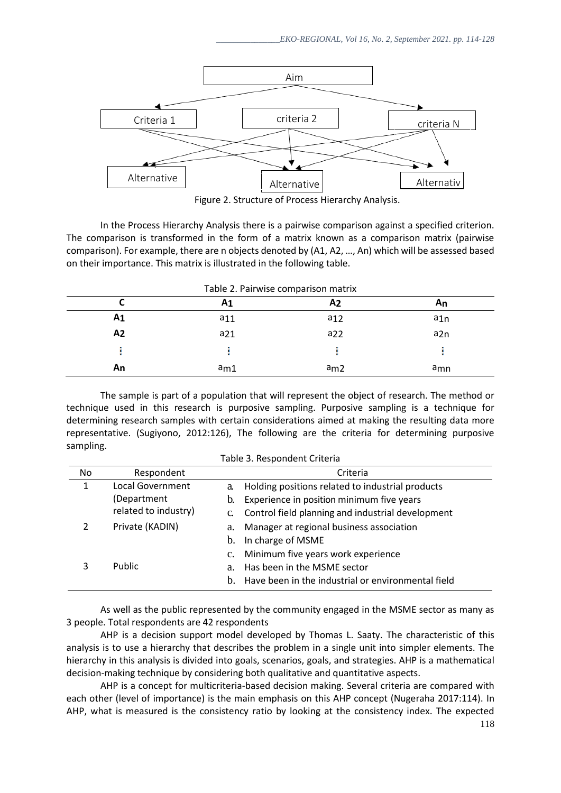

Figure 2. Structure of Process Hierarchy Analysis. 2

In the Process Hierarchy Analysis there is a pairwise comparison against a specified criterion. The comparison is transformed in the form of a matrix known as a comparison matrix (pairwise comparison). For example, there are n objects denoted by (A1, A2, …, An) which will be assessed based on their importance. This matrix is illustrated in the following table.

|                | Α1       | A2              | An              |
|----------------|----------|-----------------|-----------------|
| A <sub>1</sub> | $a_{11}$ | a <sub>12</sub> | a1n             |
| A <sub>2</sub> | $a_{21}$ | $a_{22}$        | a <sub>2n</sub> |
|                |          |                 |                 |
| An             | am1      | am2             | a <sub>mn</sub> |

The sample is part of a population that will represent the object of research. The method or technique used in this research is purposive sampling. Purposive sampling is a technique for determining research samples with certain considerations aimed at making the resulting data more representative. (Sugiyono, 2012:126), The following are the criteria for determining purposive sampling.

| Table 3. Respondent Criteria |                                                         |                                                                                                                                                                      |  |  |
|------------------------------|---------------------------------------------------------|----------------------------------------------------------------------------------------------------------------------------------------------------------------------|--|--|
| No                           | Respondent                                              | Criteria                                                                                                                                                             |  |  |
| 1                            | Local Government<br>(Department<br>related to industry) | Holding positions related to industrial products<br>a.<br>Experience in position minimum five years<br>b.<br>Control field planning and industrial development<br>C. |  |  |
| 2                            | Private (KADIN)                                         | Manager at regional business association<br>a.<br>In charge of MSME<br>b.<br>Minimum five years work experience<br>$c_{\cdot}$                                       |  |  |
| 3                            | Public                                                  | Has been in the MSME sector<br>a.<br>Have been in the industrial or environmental field<br>b.                                                                        |  |  |

As well as the public represented by the community engaged in the MSME sector as many as 3 people. Total respondents are 42 respondents

AHP is a decision support model developed by Thomas L. Saaty. The characteristic of this analysis is to use a hierarchy that describes the problem in a single unit into simpler elements. The hierarchy in this analysis is divided into goals, scenarios, goals, and strategies. AHP is a mathematical decision-making technique by considering both qualitative and quantitative aspects.

AHP is a concept for multicriteria-based decision making. Several criteria are compared with each other (level of importance) is the main emphasis on this AHP concept (Nugeraha 2017:114). In AHP, what is measured is the consistency ratio by looking at the consistency index. The expected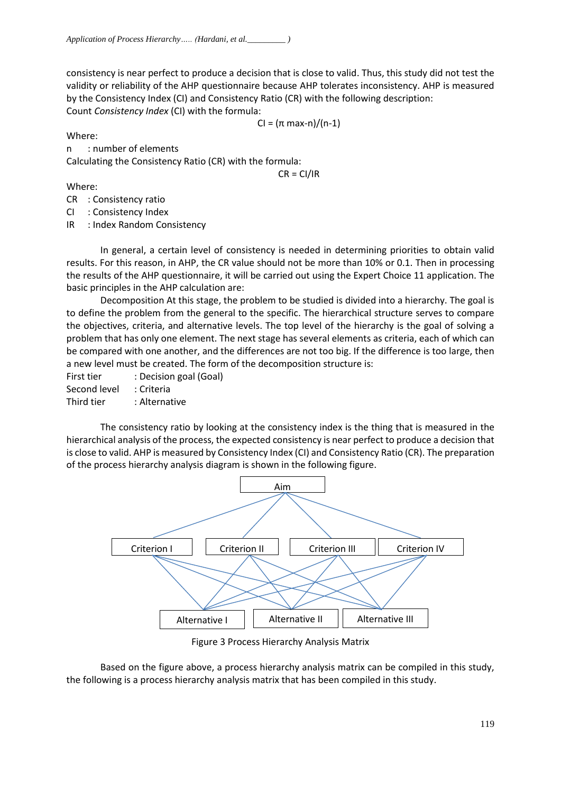consistency is near perfect to produce a decision that is close to valid. Thus, this study did not test the validity or reliability of the AHP questionnaire because AHP tolerates inconsistency. AHP is measured by the Consistency Index (CI) and Consistency Ratio (CR) with the following description: Count *Consistency Index* (CI) with the formula:

CI = (π max-n)/(n-1)

Where:

n : number of elements Calculating the Consistency Ratio (CR) with the formula:

 $CR = CI/IR$ 

# Where:

CR : Consistency ratio

CI : Consistency Index

IR : Index Random Consistency

In general, a certain level of consistency is needed in determining priorities to obtain valid results. For this reason, in AHP, the CR value should not be more than 10% or 0.1. Then in processing the results of the AHP questionnaire, it will be carried out using the Expert Choice 11 application. The basic principles in the AHP calculation are:

Decomposition At this stage, the problem to be studied is divided into a hierarchy. The goal is to define the problem from the general to the specific. The hierarchical structure serves to compare the objectives, criteria, and alternative levels. The top level of the hierarchy is the goal of solving a problem that has only one element. The next stage has several elements as criteria, each of which can be compared with one another, and the differences are not too big. If the difference is too large, then a new level must be created. The form of the decomposition structure is:

First tier : Decision goal (Goal)

Second level : Criteria

Third tier : Alternative

The consistency ratio by looking at the consistency index is the thing that is measured in the hierarchical analysis of the process, the expected consistency is near perfect to produce a decision that is close to valid. AHP is measured by Consistency Index (CI) and Consistency Ratio (CR). The preparation of the process hierarchy analysis diagram is shown in the following figure.



Figure 3 Process Hierarchy Analysis Matrix

Based on the figure above, a process hierarchy analysis matrix can be compiled in this study, the following is a process hierarchy analysis matrix that has been compiled in this study.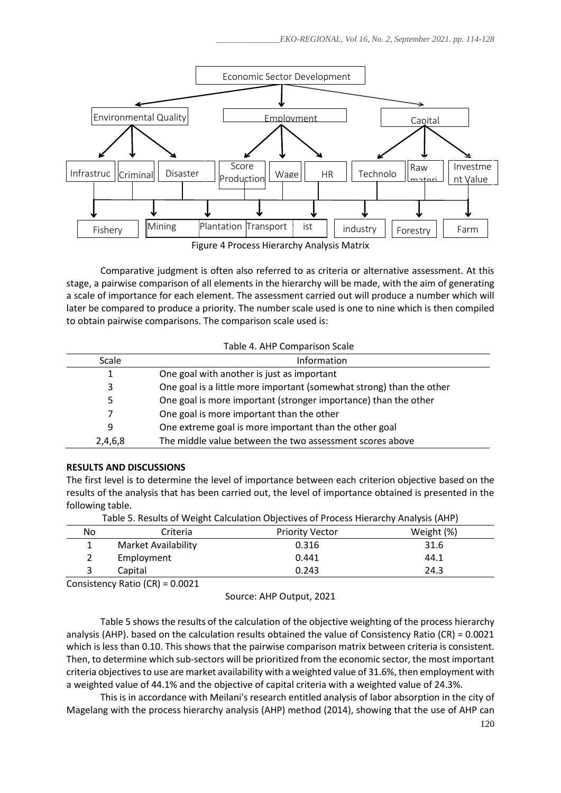

Comparative judgment is often also referred to as criteria or alternative assessment. At this stage, a pairwise comparison of all elements in the hierarchy will be made, with the aim of generating a scale of importance for each element. The assessment carried out will produce a number which will later be compared to produce a priority. The number scale used is one to nine which is then compiled to obtain pairwise comparisons. The comparison scale used is:

| Table 4. AHP Comparison Scale |                                                                      |  |  |
|-------------------------------|----------------------------------------------------------------------|--|--|
| Scale                         | Information                                                          |  |  |
| 1                             | One goal with another is just as important                           |  |  |
| 3                             | One goal is a little more important (somewhat strong) than the other |  |  |
| 5.                            | One goal is more important (stronger importance) than the other      |  |  |
|                               | One goal is more important than the other                            |  |  |
| 9                             | One extreme goal is more important than the other goal               |  |  |
| 2,4,6,8                       | The middle value between the two assessment scores above             |  |  |

#### **RESULTS AND DISCUSSIONS**

The first level is to determine the level of importance between each criterion objective based on the results of the analysis that has been carried out, the level of importance obtained is presented in the following table.

|    |                     | $18000$ and $21100000$ and $2110000$ and $210000$ and $20000$ and $20000$ and $21000$ and $21000$ |            |
|----|---------------------|---------------------------------------------------------------------------------------------------|------------|
| No | Criteria            | <b>Priority Vector</b>                                                                            | Weight (%) |
|    | Market Availability | 0.316                                                                                             | 31.6       |
|    | Employment          | 0.441                                                                                             | 44.1       |
|    | Capital             | 0.243                                                                                             | 24.3       |
|    |                     |                                                                                                   |            |

Table 5. Results of Weight Calculation Objectives of Process Hierarchy Analysis (AHP)

Consistency Ratio (CR) = 0.0021

Source: AHP Output, 2021

Table 5 shows the results of the calculation of the objective weighting of the process hierarchy analysis (AHP). based on the calculation results obtained the value of Consistency Ratio (CR) = 0.0021 which is less than 0.10. This shows that the pairwise comparison matrix between criteria is consistent. Then, to determine which sub-sectors will be prioritized from the economic sector, the most important criteria objectives to use are market availability with a weighted value of 31.6%, then employment with a weighted value of 44.1% and the objective of capital criteria with a weighted value of 24.3%.

This is in accordance with Meilani's research entitled analysis of labor absorption in the city of Magelang with the process hierarchy analysis (AHP) method (2014), showing that the use of AHP can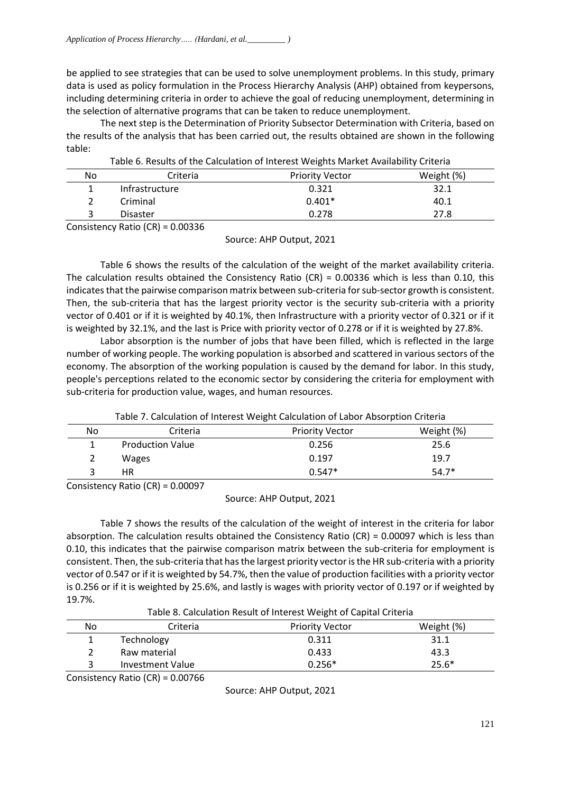be applied to see strategies that can be used to solve unemployment problems. In this study, primary data is used as policy formulation in the Process Hierarchy Analysis (AHP) obtained from keypersons, including determining criteria in order to achieve the goal of reducing unemployment, determining in the selection of alternative programs that can be taken to reduce unemployment.

The next step is the Determination of Priority Subsector Determination with Criteria, based on the results of the analysis that has been carried out, the results obtained are shown in the following table:

|     |                                                     | Table 6. Results of the Calculation of Interest Weights Market Availability Criteria |            |
|-----|-----------------------------------------------------|--------------------------------------------------------------------------------------|------------|
| No  | Criteria                                            | <b>Priority Vector</b>                                                               | Weight (%) |
|     | Infrastructure                                      | 0.321                                                                                | 32.1       |
|     | Criminal                                            | $0.401*$                                                                             | 40.1       |
| 3   | <b>Disaster</b>                                     | 0.278                                                                                | 27.8       |
| - - | $\sim$ $\sim$ $\sim$<br>$\sim$ $\sim$ $\sim$ $\sim$ |                                                                                      |            |

Table 6. Results of the Calculation of Interest Weights Market Availability Criteria

Consistency Ratio (CR) = 0.00336

Source: AHP Output, 2021

Table 6 shows the results of the calculation of the weight of the market availability criteria. The calculation results obtained the Consistency Ratio (CR) = 0.00336 which is less than 0.10, this indicates that the pairwise comparison matrix between sub-criteria for sub-sector growth is consistent. Then, the sub-criteria that has the largest priority vector is the security sub-criteria with a priority vector of 0.401 or if it is weighted by 40.1%, then Infrastructure with a priority vector of 0.321 or if it is weighted by 32.1%, and the last is Price with priority vector of 0.278 or if it is weighted by 27.8%.

Labor absorption is the number of jobs that have been filled, which is reflected in the large number of working people. The working population is absorbed and scattered in various sectors of the economy. The absorption of the working population is caused by the demand for labor. In this study, people's perceptions related to the economic sector by considering the criteria for employment with sub-criteria for production value, wages, and human resources.

| Table 7. Calculation of Interest Weight Calculation of Labor Absorption Criteria |  |  |
|----------------------------------------------------------------------------------|--|--|
|----------------------------------------------------------------------------------|--|--|

| 0.256    | 25.6    |
|----------|---------|
|          |         |
| 0.197    | 19.7    |
| $0.547*$ | $54.7*$ |
|          |         |

Consistency Ratio (CR) = 0.00097

Source: AHP Output, 2021

Table 7 shows the results of the calculation of the weight of interest in the criteria for labor absorption. The calculation results obtained the Consistency Ratio (CR) = 0.00097 which is less than 0.10, this indicates that the pairwise comparison matrix between the sub-criteria for employment is consistent. Then, the sub-criteria that has the largest priority vector is the HR sub-criteria with a priority vector of 0.547 or if it is weighted by 54.7%, then the value of production facilities with a priority vector is 0.256 or if it is weighted by 25.6%, and lastly is wages with priority vector of 0.197 or if weighted by 19.7%.

Table 8. Calculation Result of Interest Weight of Capital Criteria

| No | Criteria                | <b>Priority Vector</b> | Weight (%) |
|----|-------------------------|------------------------|------------|
| T  | <b>Technology</b>       | 0.311                  | 31.1       |
|    | Raw material            | 0.433                  | 43.3       |
|    | <b>Investment Value</b> | $0.256*$               | $25.6*$    |
|    | $   -$<br>-------       |                        |            |

Consistency Ratio (CR) = 0.00766

Source: AHP Output, 2021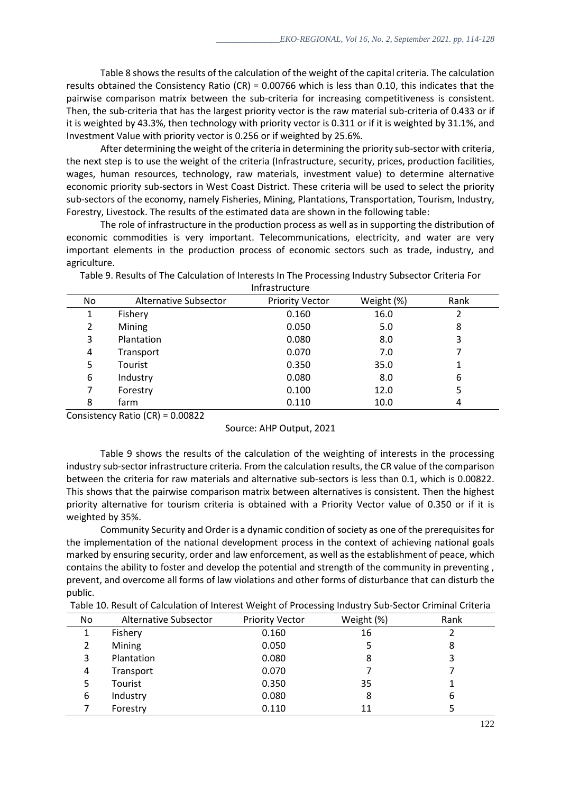Table 8 shows the results of the calculation of the weight of the capital criteria. The calculation results obtained the Consistency Ratio (CR) = 0.00766 which is less than 0.10, this indicates that the pairwise comparison matrix between the sub-criteria for increasing competitiveness is consistent. Then, the sub-criteria that has the largest priority vector is the raw material sub-criteria of 0.433 or if it is weighted by 43.3%, then technology with priority vector is 0.311 or if it is weighted by 31.1%, and Investment Value with priority vector is 0.256 or if weighted by 25.6%.

After determining the weight of the criteria in determining the priority sub-sector with criteria, the next step is to use the weight of the criteria (Infrastructure, security, prices, production facilities, wages, human resources, technology, raw materials, investment value) to determine alternative economic priority sub-sectors in West Coast District. These criteria will be used to select the priority sub-sectors of the economy, namely Fisheries, Mining, Plantations, Transportation, Tourism, Industry, Forestry, Livestock. The results of the estimated data are shown in the following table:

The role of infrastructure in the production process as well as in supporting the distribution of economic commodities is very important. Telecommunications, electricity, and water are very important elements in the production process of economic sectors such as trade, industry, and agriculture.

| 11111 d. d. uu uu uu u |                       |                        |            |      |
|------------------------|-----------------------|------------------------|------------|------|
| No                     | Alternative Subsector | <b>Priority Vector</b> | Weight (%) | Rank |
|                        | Fishery               | 0.160                  | 16.0       |      |
| 2                      | Mining                | 0.050                  | 5.0        | 8    |
| 3                      | Plantation            | 0.080                  | 8.0        | 3    |
| 4                      | Transport             | 0.070                  | 7.0        |      |
| 5                      | Tourist               | 0.350                  | 35.0       | 1    |
| 6                      | Industry              | 0.080                  | 8.0        | 6    |
|                        | Forestry              | 0.100                  | 12.0       | 5    |
| 8                      | farm                  | 0.110                  | 10.0       | 4    |

Table 9. Results of The Calculation of Interests In The Processing Industry Subsector Criteria For Infrastructure

Consistency Ratio (CR) = 0.00822

Table 9 shows the results of the calculation of the weighting of interests in the processing industry sub-sector infrastructure criteria. From the calculation results, the CR value of the comparison between the criteria for raw materials and alternative sub-sectors is less than 0.1, which is 0.00822. This shows that the pairwise comparison matrix between alternatives is consistent. Then the highest priority alternative for tourism criteria is obtained with a Priority Vector value of 0.350 or if it is weighted by 35%.

Community Security and Order is a dynamic condition of society as one of the prerequisites for the implementation of the national development process in the context of achieving national goals marked by ensuring security, order and law enforcement, as well as the establishment of peace, which contains the ability to foster and develop the potential and strength of the community in preventing , prevent, and overcome all forms of law violations and other forms of disturbance that can disturb the public.

| No | <b>Alternative Subsector</b> | <b>Priority Vector</b> | Weight (%) | Rank |
|----|------------------------------|------------------------|------------|------|
| 1  | Fishery                      | 0.160                  | 16         |      |
|    | Mining                       | 0.050                  |            | 8    |
| 3  | Plantation                   | 0.080                  | 8          | 3    |
| 4  | Transport                    | 0.070                  |            |      |
| 5  | Tourist                      | 0.350                  | 35         |      |
| 6  | Industry                     | 0.080                  | 8          | 6    |
|    | Forestry                     | 0.110                  | 11         |      |

Source: AHP Output, 2021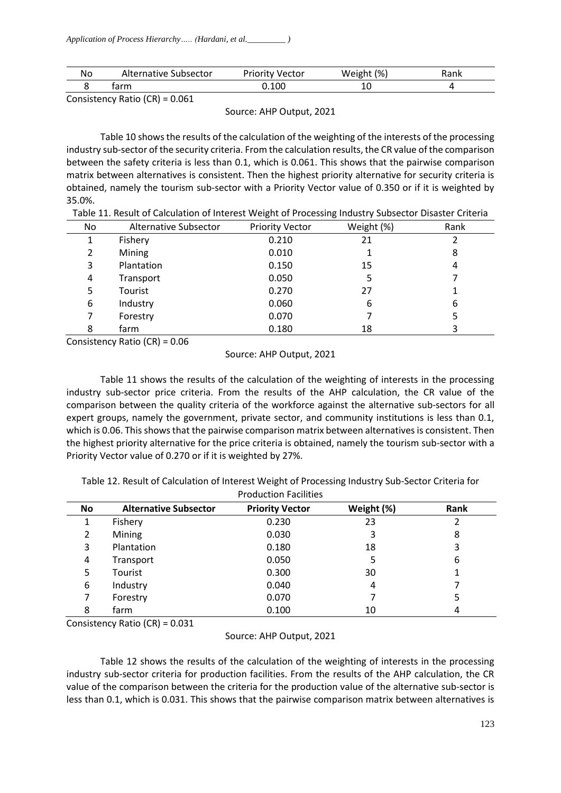| Νo | Subsector   | Vector     | (% )  | Dへいし |
|----|-------------|------------|-------|------|
|    | Alternative | 1.0.0.0.01 | Weig. | ланк |
|    | tarm        | 0.100      | ⊥∪    |      |

Consistency Ratio (CR) = 0.061

Source: AHP Output, 2021

Table 10 shows the results of the calculation of the weighting of the interests of the processing industry sub-sector of the security criteria. From the calculation results, the CR value of the comparison between the safety criteria is less than 0.1, which is 0.061. This shows that the pairwise comparison matrix between alternatives is consistent. Then the highest priority alternative for security criteria is obtained, namely the tourism sub-sector with a Priority Vector value of 0.350 or if it is weighted by 35.0%.

| No | Alternative Subsector | <b>Priority Vector</b> | Weight (%) | Rank |
|----|-----------------------|------------------------|------------|------|
| 1  | Fishery               | 0.210                  | 21         | 2    |
| 2  | Mining                | 0.010                  |            | 8    |
| 3  | Plantation            | 0.150                  | 15         | 4    |
| 4  | Transport             | 0.050                  | 5          |      |
| 5  | Tourist               | 0.270                  | 27         |      |
| 6  | Industry              | 0.060                  | 6          | 6    |
|    | Forestry              | 0.070                  |            | 5    |
| 8  | farm                  | 0.180                  | 18         | 3    |

Consistency Ratio (CR) = 0.06

## Source: AHP Output, 2021

Table 11 shows the results of the calculation of the weighting of interests in the processing industry sub-sector price criteria. From the results of the AHP calculation, the CR value of the comparison between the quality criteria of the workforce against the alternative sub-sectors for all expert groups, namely the government, private sector, and community institutions is less than 0.1, which is 0.06. This shows that the pairwise comparison matrix between alternatives is consistent. Then the highest priority alternative for the price criteria is obtained, namely the tourism sub-sector with a Priority Vector value of 0.270 or if it is weighted by 27%.

| Table 12. Result of Calculation of Interest Weight of Processing Industry Sub-Sector Criteria for |
|---------------------------------------------------------------------------------------------------|
| <b>Production Facilities</b>                                                                      |

| <b>No</b> | <b>Alternative Subsector</b> | <b>Priority Vector</b> | Weight (%) | Rank |  |
|-----------|------------------------------|------------------------|------------|------|--|
|           | Fishery                      | 0.230                  | 23         |      |  |
| 2         | Mining                       | 0.030                  | 3          | 8    |  |
| 3         | Plantation                   | 0.180                  | 18         | 3    |  |
| 4         | Transport                    | 0.050                  | 5          | 6    |  |
| 5         | Tourist                      | 0.300                  | 30         |      |  |
| 6         | Industry                     | 0.040                  | 4          |      |  |
|           | Forestry                     | 0.070                  |            | 5    |  |
| 8         | farm                         | 0.100                  | 10         | 4    |  |

Consistency Ratio (CR) = 0.031

Source: AHP Output, 2021

Table 12 shows the results of the calculation of the weighting of interests in the processing industry sub-sector criteria for production facilities. From the results of the AHP calculation, the CR value of the comparison between the criteria for the production value of the alternative sub-sector is less than 0.1, which is 0.031. This shows that the pairwise comparison matrix between alternatives is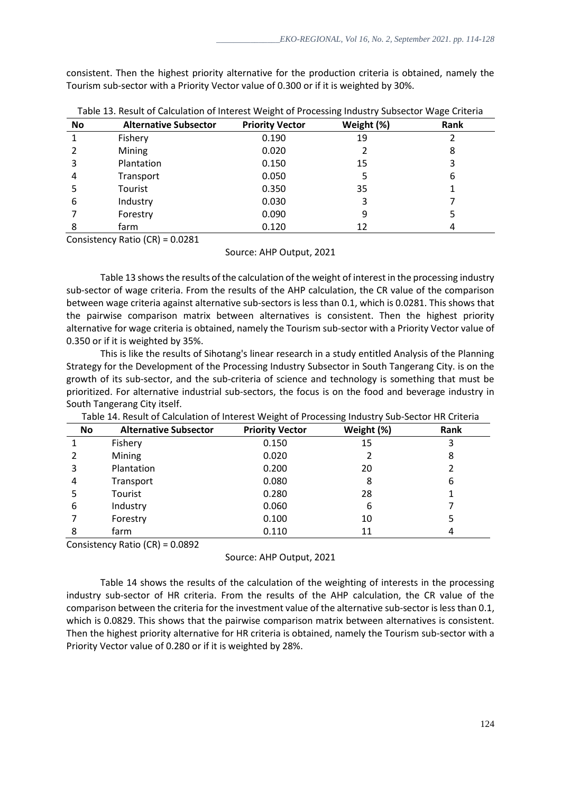consistent. Then the highest priority alternative for the production criteria is obtained, namely the Tourism sub-sector with a Priority Vector value of 0.300 or if it is weighted by 30%.

| No | <b>Alternative Subsector</b> | <b>Priority Vector</b> | Weight (%) | -<br>Rank |
|----|------------------------------|------------------------|------------|-----------|
|    | Fishery                      | 0.190                  | 19         |           |
|    | Mining                       | 0.020                  |            | 8         |
|    | Plantation                   | 0.150                  | 15         |           |
| 4  | Transport                    | 0.050                  | 5          | 6         |
|    | Tourist                      | 0.350                  | 35         |           |
| 6  | Industry                     | 0.030                  | 3          |           |
|    | Forestry                     | 0.090                  | 9          |           |
| 8  | farm                         | 0.120                  | 12         | 4         |

Table 13. Result of Calculation of Interest Weight of Processing Industry Subsector Wage Criteria

Consistency Ratio (CR) = 0.0281

#### Source: AHP Output, 2021

Table 13 shows the results of the calculation of the weight of interest in the processing industry sub-sector of wage criteria. From the results of the AHP calculation, the CR value of the comparison between wage criteria against alternative sub-sectors is less than 0.1, which is 0.0281. This shows that the pairwise comparison matrix between alternatives is consistent. Then the highest priority alternative for wage criteria is obtained, namely the Tourism sub-sector with a Priority Vector value of 0.350 or if it is weighted by 35%.

This is like the results of Sihotang's linear research in a study entitled Analysis of the Planning Strategy for the Development of the Processing Industry Subsector in South Tangerang City. is on the growth of its sub-sector, and the sub-criteria of science and technology is something that must be prioritized. For alternative industrial sub-sectors, the focus is on the food and beverage industry in South Tangerang City itself.

| No | <b>Alternative Subsector</b> | <b>Priority Vector</b> | Weight (%) | Rank |
|----|------------------------------|------------------------|------------|------|
|    | Fishery                      | 0.150                  | 15         | 3    |
|    | Mining                       | 0.020                  |            | 8    |
| 3  | Plantation                   | 0.200                  | 20         | 2    |
| 4  | Transport                    | 0.080                  | 8          | 6    |
| 5  | Tourist                      | 0.280                  | 28         |      |
| 6  | Industry                     | 0.060                  | 6          |      |
|    | Forestry                     | 0.100                  | 10         | 5    |
| 8  | farm                         | 0.110                  | 11         | 4    |

Table 14. Result of Calculation of Interest Weight of Processing Industry Sub-Sector HR Criteria

Consistency Ratio (CR) = 0.0892

Source: AHP Output, 2021

Table 14 shows the results of the calculation of the weighting of interests in the processing industry sub-sector of HR criteria. From the results of the AHP calculation, the CR value of the comparison between the criteria for the investment value of the alternative sub-sector is less than 0.1, which is 0.0829. This shows that the pairwise comparison matrix between alternatives is consistent. Then the highest priority alternative for HR criteria is obtained, namely the Tourism sub-sector with a Priority Vector value of 0.280 or if it is weighted by 28%.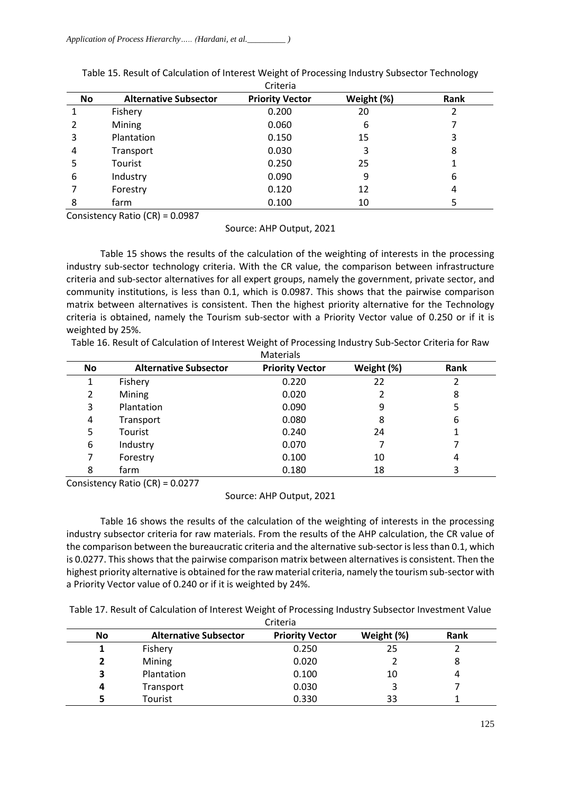|    |                              | ------                 |            |      |  |
|----|------------------------------|------------------------|------------|------|--|
| No | <b>Alternative Subsector</b> | <b>Priority Vector</b> | Weight (%) | Rank |  |
|    | Fishery                      | 0.200                  | 20         | 2    |  |
|    | Mining                       | 0.060                  | 6          | 7    |  |
| 3  | Plantation                   | 0.150                  | 15         | 3    |  |
| 4  | Transport                    | 0.030                  | 3          | 8    |  |
| 5  | Tourist                      | 0.250                  | 25         |      |  |
| 6  | Industry                     | 0.090                  | 9          | 6    |  |
|    | Forestry                     | 0.120                  | 12         | 4    |  |
| 8  | farm                         | 0.100                  | 10         | 5    |  |
|    |                              |                        |            |      |  |

Table 15. Result of Calculation of Interest Weight of Processing Industry Subsector Technology Criteria

Consistency Ratio (CR) = 0.0987

Source: AHP Output, 2021

Table 15 shows the results of the calculation of the weighting of interests in the processing industry sub-sector technology criteria. With the CR value, the comparison between infrastructure criteria and sub-sector alternatives for all expert groups, namely the government, private sector, and community institutions, is less than 0.1, which is 0.0987. This shows that the pairwise comparison matrix between alternatives is consistent. Then the highest priority alternative for the Technology criteria is obtained, namely the Tourism sub-sector with a Priority Vector value of 0.250 or if it is weighted by 25%.

Table 16. Result of Calculation of Interest Weight of Processing Industry Sub-Sector Criteria for Raw Materials

| No | <b>Alternative Subsector</b> | <b>Priority Vector</b> | Weight (%) | Rank |  |
|----|------------------------------|------------------------|------------|------|--|
|    | Fishery                      | 0.220                  | 22         |      |  |
| 2  | Mining                       | 0.020                  |            | 8    |  |
| 3  | Plantation                   | 0.090                  | 9          | 5    |  |
| 4  | Transport                    | 0.080                  | 8          | 6    |  |
| 5  | Tourist                      | 0.240                  | 24         |      |  |
| 6  | Industry                     | 0.070                  |            |      |  |
|    | Forestry                     | 0.100                  | 10         | 4    |  |
| 8  | farm                         | 0.180                  | 18         | 3    |  |

Consistency Ratio (CR) = 0.0277

Source: AHP Output, 2021

Table 16 shows the results of the calculation of the weighting of interests in the processing industry subsector criteria for raw materials. From the results of the AHP calculation, the CR value of the comparison between the bureaucratic criteria and the alternative sub-sector is less than 0.1, which is 0.0277. This shows that the pairwise comparison matrix between alternatives is consistent. Then the highest priority alternative is obtained for the raw material criteria, namely the tourism sub-sector with a Priority Vector value of 0.240 or if it is weighted by 24%.

Table 17. Result of Calculation of Interest Weight of Processing Industry Subsector Investment Value

| Criteria  |                              |                        |            |      |  |  |
|-----------|------------------------------|------------------------|------------|------|--|--|
| <b>No</b> | <b>Alternative Subsector</b> | <b>Priority Vector</b> | Weight (%) | Rank |  |  |
|           | Fishery                      | 0.250                  | 25         |      |  |  |
|           | Mining                       | 0.020                  |            | 8    |  |  |
| 3         | Plantation                   | 0.100                  | 10         | 4    |  |  |
| 4         | Transport                    | 0.030                  |            |      |  |  |
|           | Tourist                      | 0.330                  | 33         |      |  |  |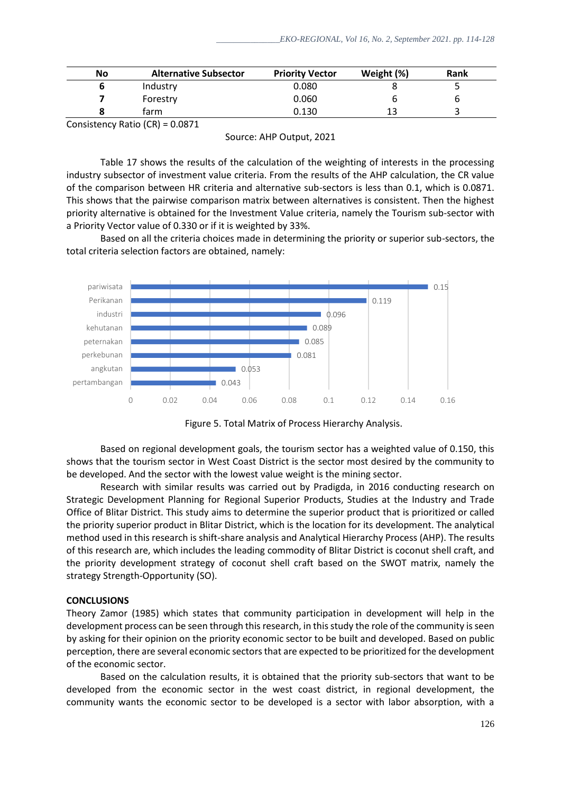| No | <b>Alternative Subsector</b> | <b>Priority Vector</b> | Weight (%) | Rank |  |
|----|------------------------------|------------------------|------------|------|--|
|    | Industry                     | 0.080                  |            |      |  |
|    | Forestry                     | 0.060                  |            | ь    |  |
|    | tarm                         | 0.130                  | 13         |      |  |
|    |                              |                        |            |      |  |

Consistency Ratio (CR) = 0.0871

Source: AHP Output, 2021

Table 17 shows the results of the calculation of the weighting of interests in the processing industry subsector of investment value criteria. From the results of the AHP calculation, the CR value of the comparison between HR criteria and alternative sub-sectors is less than 0.1, which is 0.0871. This shows that the pairwise comparison matrix between alternatives is consistent. Then the highest priority alternative is obtained for the Investment Value criteria, namely the Tourism sub-sector with a Priority Vector value of 0.330 or if it is weighted by 33%.

Based on all the criteria choices made in determining the priority or superior sub-sectors, the total criteria selection factors are obtained, namely:



Figure 5. Total Matrix of Process Hierarchy Analysis.

Based on regional development goals, the tourism sector has a weighted value of 0.150, this shows that the tourism sector in West Coast District is the sector most desired by the community to be developed. And the sector with the lowest value weight is the mining sector.

Research with similar results was carried out by Pradigda, in 2016 conducting research on Strategic Development Planning for Regional Superior Products, Studies at the Industry and Trade Office of Blitar District. This study aims to determine the superior product that is prioritized or called the priority superior product in Blitar District, which is the location for its development. The analytical method used in this research is shift-share analysis and Analytical Hierarchy Process (AHP). The results of this research are, which includes the leading commodity of Blitar District is coconut shell craft, and the priority development strategy of coconut shell craft based on the SWOT matrix, namely the strategy Strength-Opportunity (SO).

# **CONCLUSIONS**

Theory Zamor (1985) which states that community participation in development will help in the development process can be seen through this research, in this study the role of the community is seen by asking for their opinion on the priority economic sector to be built and developed. Based on public perception, there are several economic sectors that are expected to be prioritized for the development of the economic sector.

Based on the calculation results, it is obtained that the priority sub-sectors that want to be developed from the economic sector in the west coast district, in regional development, the community wants the economic sector to be developed is a sector with labor absorption, with a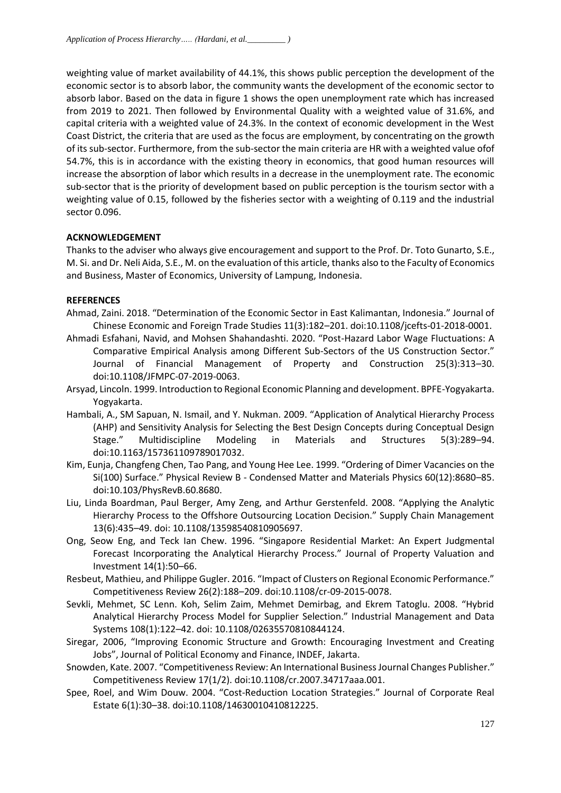weighting value of market availability of 44.1%, this shows public perception the development of the economic sector is to absorb labor, the community wants the development of the economic sector to absorb labor. Based on the data in figure 1 shows the open unemployment rate which has increased from 2019 to 2021. Then followed by Environmental Quality with a weighted value of 31.6%, and capital criteria with a weighted value of 24.3%. In the context of economic development in the West Coast District, the criteria that are used as the focus are employment, by concentrating on the growth of its sub-sector. Furthermore, from the sub-sector the main criteria are HR with a weighted value ofof 54.7%, this is in accordance with the existing theory in economics, that good human resources will increase the absorption of labor which results in a decrease in the unemployment rate. The economic sub-sector that is the priority of development based on public perception is the tourism sector with a weighting value of 0.15, followed by the fisheries sector with a weighting of 0.119 and the industrial sector 0.096.

## **ACKNOWLEDGEMENT**

Thanks to the adviser who always give encouragement and support to the Prof. Dr. Toto Gunarto, S.E., M. Si. and Dr. Neli Aida, S.E., M. on the evaluation of this article, thanks also to the Faculty of Economics and Business, Master of Economics, University of Lampung, Indonesia.

#### **REFERENCES**

- Ahmad, Zaini. 2018. "Determination of the Economic Sector in East Kalimantan, Indonesia." Journal of Chinese Economic and Foreign Trade Studies 11(3):182–201. doi:10.1108/jcefts-01-2018-0001.
- Ahmadi Esfahani, Navid, and Mohsen Shahandashti. 2020. "Post-Hazard Labor Wage Fluctuations: A Comparative Empirical Analysis among Different Sub-Sectors of the US Construction Sector." Journal of Financial Management of Property and Construction 25(3):313–30. doi:10.1108/JFMPC-07-2019-0063.
- Arsyad, Lincoln. 1999. Introduction to Regional Economic Planning and development. BPFE-Yogyakarta. Yogyakarta.
- Hambali, A., SM Sapuan, N. Ismail, and Y. Nukman. 2009. "Application of Analytical Hierarchy Process (AHP) and Sensitivity Analysis for Selecting the Best Design Concepts during Conceptual Design Stage." Multidiscipline Modeling in Materials and Structures 5(3):289–94. doi:10.1163/157361109789017032.
- Kim, Eunja, Changfeng Chen, Tao Pang, and Young Hee Lee. 1999. "Ordering of Dimer Vacancies on the Si(100) Surface." Physical Review B - Condensed Matter and Materials Physics 60(12):8680–85. doi:10.103/PhysRevB.60.8680.
- Liu, Linda Boardman, Paul Berger, Amy Zeng, and Arthur Gerstenfeld. 2008. "Applying the Analytic Hierarchy Process to the Offshore Outsourcing Location Decision." Supply Chain Management 13(6):435–49. doi: 10.1108/13598540810905697.
- Ong, Seow Eng, and Teck Ian Chew. 1996. "Singapore Residential Market: An Expert Judgmental Forecast Incorporating the Analytical Hierarchy Process." Journal of Property Valuation and Investment 14(1):50–66.
- Resbeut, Mathieu, and Philippe Gugler. 2016. "Impact of Clusters on Regional Economic Performance." Competitiveness Review 26(2):188–209. doi:10.1108/cr-09-2015-0078.
- Sevkli, Mehmet, SC Lenn. Koh, Selim Zaim, Mehmet Demirbag, and Ekrem Tatoglu. 2008. "Hybrid Analytical Hierarchy Process Model for Supplier Selection." Industrial Management and Data Systems 108(1):122–42. doi: 10.1108/02635570810844124.
- Siregar, 2006, "Improving Economic Structure and Growth: Encouraging Investment and Creating Jobs", Journal of Political Economy and Finance, INDEF, Jakarta.
- Snowden, Kate. 2007. "Competitiveness Review: An International Business Journal Changes Publisher." Competitiveness Review 17(1/2). doi:10.1108/cr.2007.34717aaa.001.
- Spee, Roel, and Wim Douw. 2004. "Cost-Reduction Location Strategies." Journal of Corporate Real Estate 6(1):30–38. doi:10.1108/14630010410812225.